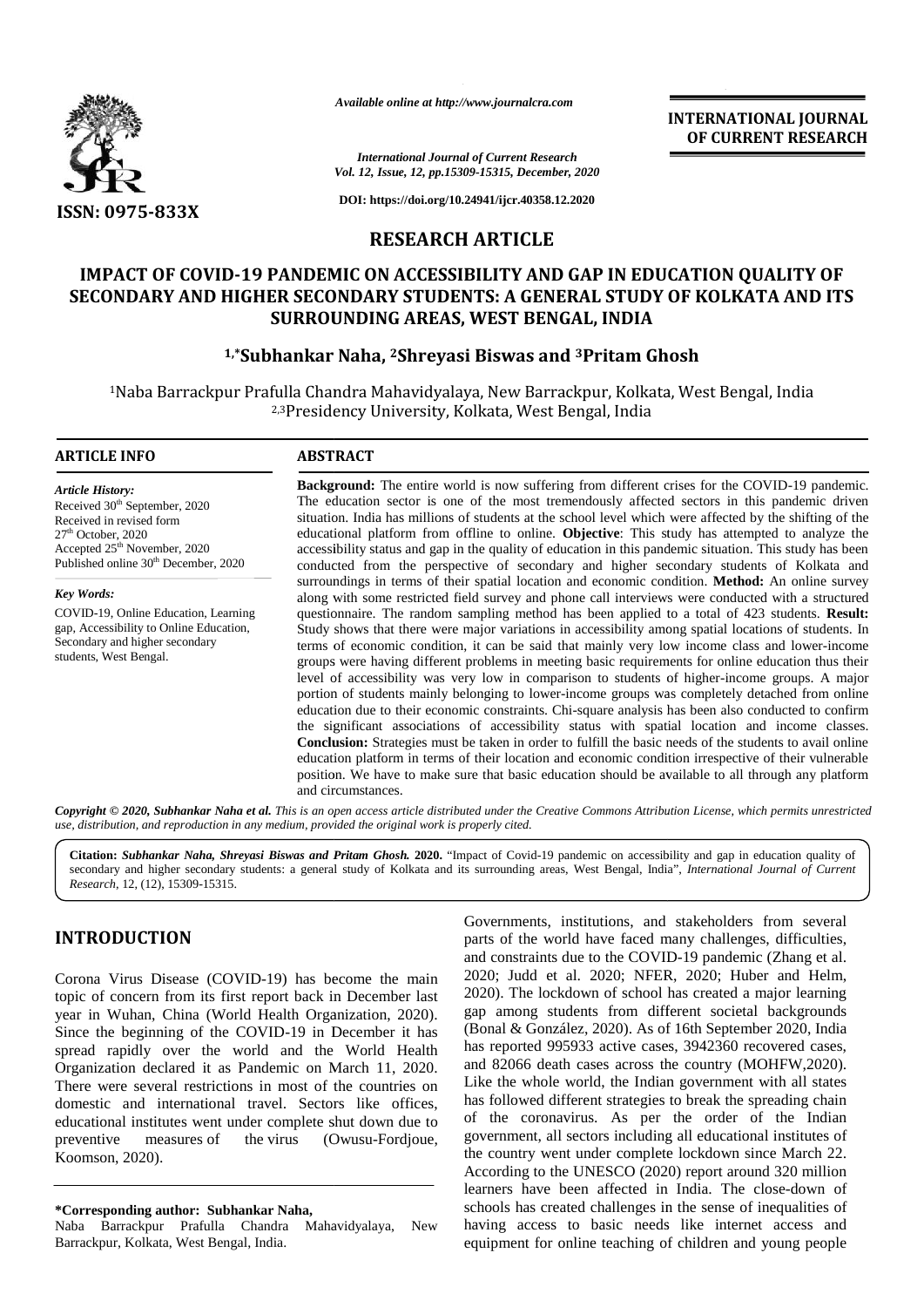

*Available online at http://www.journalcra.com http://www.journalcra.com*

**INTERNATIONAL JOURNAL OF CURRENT RESEARCH**

*International Journal of Current Research Vol. 12, Issue, 12, pp.15309-15315, December, 2020*

**DOI: https://doi.org/10.24941/ijcr.40358.12.2020**

# **RESEARCH ARTICLE**

# **IMPACT OF COVID-19 PANDEMIC ON ACCESSIBILITY AND GAP IN EDUCATION QUALITY OF** IMPACT OF COVID-19 PANDEMIC ON ACCESSIBILITY AND GAP IN EDUCATION QUALITY OF SECONDARY AND HIGHER SECONDARY STUDENTS: A GENERAL STUDY OF KOLKATA AND ITS **SURROUNDING AREAS, WEST BENGAL, INDIA**

# **1,\*Subhankar Naha, <sup>2</sup>Shreyasi Biswas and <sup>3</sup>Pritam Ghosh 1,\* <sup>3</sup>Pritam**

<sup>1</sup>Naba Barrackpur Prafulla Chandra Mahavidyalaya, New Barrackpur, Kolkata, West Bengal, India 2,3Presidency University, Kolkata, West Bengal, India

### **ARTICLE INFO ABSTRACT ARTICLE ABSTRACT**

*Article History:* Received 30<sup>th</sup> September, 2020 Received in revised form 27th October, 2020 Accepted 25<sup>th</sup> November, 2020 Published online 30<sup>th</sup> December, 2020

*Key Words:* COVID-19, Online Education, Learning Learninggap, Accessibility to Online Education, Secondary and higher secondary students, West Bengal.

**Background:** The entire world is now suffering from different crises for the COVID-19 pandemic. The education sector is one of the most tremendously affected sectors in this pandemic driven situation. India has millions of students at the school level which were affected by the shifting of the educational platform from offline to online. **Objective**: This study has attempted to analyze the accessibility status and gap in the quality of education in this pandemic situation. This study has been conducted from the perspective of secondary and higher secondary students of Kolkata and conducted from the perspective of secondary and higher secondary students of Kolkata and surroundings in terms of their spatial location and economic condition. **Method:** An online survey along with some restricted field survey and phone call interviews were conducted with a structured questionnaire. The random sampling method has been applied to a total of 423 students. **Result:** Study shows that there were major variations in accessibility among spatial locations of students. In terms of economic condition, it can be said that mainly very low income class and lower-income groups were having different problems in meeting basic requirements for online education thus their level of accessibility was very low in comparison to students of higher-income groups. A major portion of students mainly belonging to lower-income groups was completely detached from online education due to their economic constraints. Chi-square analysis has been also conducted to confirm the significant associations of accessibility status with spatial location and income classes. **Conclusion:** Strategies must be taken in order to fulfill the basic needs of the students to avail online education platform in terms of their location and economic condition irrespective of their vulnerable position. We have to make sure that basic education should be available to all through any platform and circumstances. **Background:** The entire world is now suffering from different crises for the COVID-19 pandemic.<br>The education sector is one of the most tremendously affected sectors in this pandemic driven<br>situation. India has millions o along with some restricted field survey and phone call interviews were conducted with a structured questionnaire. The random sampling method has been applied to a total of 423 students. **Result:** Study shows that there wer **Conclusion:** Strategies must be taken in order to fulfill the basic needs of the students to avail online education platform in terms of their location and economic condition irrespective of their vulnerable position. We **3.2.** The *Anselary Boston Marchives Corpulational* Corpulations Answer and **COURENT RESEARCH**<br>
SERVICION CONTRACT DE CONTRACT AND CAP IN EDUCATION QUALITY OF<br>
SERVICION CONTRACT DE CONTRACT AND INCORPORATION CONTRACT AN crises for the COVID<br>ed sectors in this pa<br>a were affected by the<br>study has attempted<br>demic situation. This<br>econdary students of<br>modition. **Method:** An<br>we were conducted with to a total of 423 students<br>ow income class and **INTERACT DESCRIPTION CONSULTERATION**<br>
INTERNATION UNITELEMENT (INTERNATION CONTROL TOWATED THE CONTROL CONTROL ARTICLE CONTROL ARTICLE CONTROL ARTICLE CONTROL ARTICLE CONTROL ARTICLE CONTROL ARTICLE CONTROL ARTICLE CONTR

**Copyright © 2020, Subhankar Naha et al.** This is an open access article distributed under the Creative Commons Attribution License, which permits unrestricted<br>use, distribution, and reproduction in any medium, provided th *use, distribution, and reproduction in any medium, provided the original work is properly cited.*

**Citation:** *Subhankar Naha, Shreyasi Biswas and Pritam Ghosh.* **2020.** "Impact of Covid-19 pandemic on accessibility and gap in education quality of Citation: Subhankar Naha, Shreyasi Biswas and Pritam Ghosh. 2020. "Impact of Covid-19 pandemic on accessibility and gap in education quality of electron quality of electron quality of electron quality of electron quality o *Research*, 12, (12), 15309-15315.

# **INTRODUCTION INTRODUCTION**

Corona Virus Disease (COVID-19) has become the main topic of concern from its first report back in December last year in Wuhan, China (World Health Organization, 2020). Since the beginning of the COVID-19 in December it has spread rapidly over the world and the World Health Organization declared it as Pandemic on March 11, 2020. There were several restrictions in most of the countries on domestic and international travel. Sectors like offices, educational institutes went under complete shut down due to preventive measures of the virus (Owusu-Fordjoue, Koomson, 2020). Koomson, Corona Virus Disease (COVID-19) has become the main<br>topic of concern from its first report back in December last<br>year in Wuhan, China (World Health Organization, 2020).<br>Since the beginning of the COVID-19 in December it ha

**\*Corresponding author: Subhankar Naha, \*Corresponding** 

Naba Barrackpur Prafulla Chandra Mahavidyalaya, New Barrackpur, Kolkata, West Bengal, India.

Governments, institutions, and stakeholders from several parts of the world have faced many challenges, difficulties, and constraints due to the COVID-19 pandemic (Zhang et al. 2020; Judd et al. 2020; NFER, 2020; Huber and Helm, 2020). The lockdown of school has created a major learning gap among students from different societal backgrounds (Bonal & González, 2020). As of 16th September 2020, India has reported 995933 active cases, 3942360 recovered cases, and 82066 death cases across the country (MOHFW,2020). Like the whole world, the Indian government with all states has followed different strategies to break the spreading chain of the coronavirus. As per the order of the Indian government, all sectors including all educational institutes of the country went under complete lockdown since March 22. According to the UNESCO (2020) report around 320 million learners have been affected in India. The close-down of schools has created challenges in the sense of inequalities of having access to basic needs like internet access and equipment for online teaching of children and young people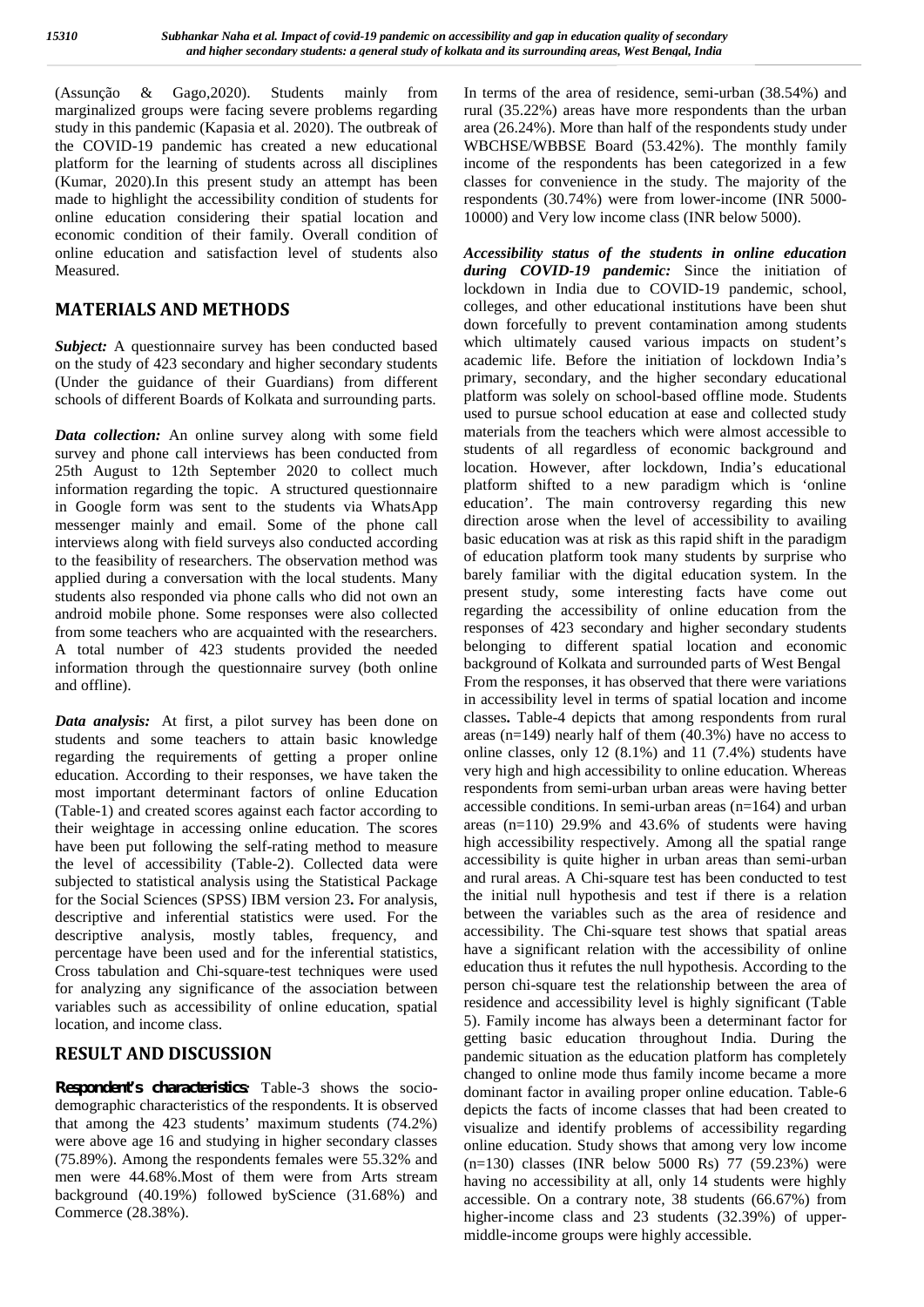(Assunção & Gago,2020). Students mainly from marginalized groups were facing severe problems regarding study in this pandemic (Kapasia et al. 2020). The outbreak of the COVID-19 pandemic has created a new educational platform for the learning of students across all disciplines (Kumar, 2020).In this present study an attempt has been made to highlight the accessibility condition of students for online education considering their spatial location and economic condition of their family. Overall condition of online education and satisfaction level of students also Measured.

# **MATERIALS AND METHODS**

*Subject:* A questionnaire survey has been conducted based on the study of 423 secondary and higher secondary students (Under the guidance of their Guardians) from different schools of different Boards of Kolkata and surrounding parts.

*Data collection:* An online survey along with some field survey and phone call interviews has been conducted from 25th August to 12th September 2020 to collect much information regarding the topic. A structured questionnaire in Google form was sent to the students via WhatsApp messenger mainly and email. Some of the phone call interviews along with field surveys also conducted according to the feasibility of researchers. The observation method was applied during a conversation with the local students. Many students also responded via phone calls who did not own an android mobile phone. Some responses were also collected from some teachers who are acquainted with the researchers. A total number of 423 students provided the needed information through the questionnaire survey (both online and offline).

*Data analysis:* At first, a pilot survey has been done on students and some teachers to attain basic knowledge regarding the requirements of getting a proper online education. According to their responses, we have taken the most important determinant factors of online Education (Table-1) and created scores against each factor according to their weightage in accessing online education. The scores have been put following the self-rating method to measure the level of accessibility (Table-2). Collected data were subjected to statistical analysis using the Statistical Package for the Social Sciences (SPSS) IBM version 23**.** For analysis, descriptive and inferential statistics were used. For the descriptive analysis, mostly tables, frequency, and percentage have been used and for the inferential statistics, Cross tabulation and Chi-square-test techniques were used for analyzing any significance of the association between variables such as accessibility of online education, spatial location, and income class.

# **RESULT AND DISCUSSION**

*Respondent's characteristics:* Table-3 shows the socio demographic characteristics of the respondents. It is observed that among the 423 students' maximum students (74.2%) were above age 16 and studying in higher secondary classes (75.89%). Among the respondents females were 55.32% and men were 44.68%.Most of them were from Arts stream background (40.19%) followed byScience (31.68%) and Commerce (28.38%).

In terms of the area of residence, semi-urban (38.54%) and rural (35.22%) areas have more respondents than the urban area (26.24%). More than half of the respondents study under WBCHSE/WBBSE Board (53.42%). The monthly family income of the respondents has been categorized in a few classes for convenience in the study. The majority of the respondents (30.74%) were from lower-income (INR 5000- 10000) and Very low income class (INR below 5000).

*Accessibility status of the students in online education during COVID-19 pandemic:* Since the initiation of lockdown in India due to COVID-19 pandemic, school, colleges, and other educational institutions have been shut down forcefully to prevent contamination among students which ultimately caused various impacts on student's academic life. Before the initiation of lockdown India's primary, secondary, and the higher secondary educational platform was solely on school-based offline mode. Students used to pursue school education at ease and collected study materials from the teachers which were almost accessible to students of all regardless of economic background and location. However, after lockdown, India's educational platform shifted to a new paradigm which is 'online education'. The main controversy regarding this new direction arose when the level of accessibility to availing basic education was at risk as this rapid shift in the paradigm of education platform took many students by surprise who barely familiar with the digital education system. In the present study, some interesting facts have come out regarding the accessibility of online education from the responses of 423 secondary and higher secondary students belonging to different spatial location and economic background of Kolkata and surrounded parts of West Bengal From the responses, it has observed that there were variations in accessibility level in terms of spatial location and income classes**.** Table-4 depicts that among respondents from rural areas (n=149) nearly half of them (40.3%) have no access to online classes, only 12 (8.1%) and 11 (7.4%) students have very high and high accessibility to online education. Whereas respondents from semi-urban urban areas were having better accessible conditions. In semi-urban areas  $(n=164)$  and urban areas (n=110) 29.9% and 43.6% of students were having high accessibility respectively. Among all the spatial range accessibility is quite higher in urban areas than semi-urban and rural areas. A Chi-square test has been conducted to test the initial null hypothesis and test if there is a relation between the variables such as the area of residence and accessibility. The Chi-square test shows that spatial areas have a significant relation with the accessibility of online education thus it refutes the null hypothesis. According to the person chi-square test the relationship between the area of residence and accessibility level is highly significant (Table 5). Family income has always been a determinant factor for getting basic education throughout India. During the pandemic situation as the education platform has completely changed to online mode thus family income became a more dominant factor in availing proper online education. Table-6 depicts the facts of income classes that had been created to visualize and identify problems of accessibility regarding online education. Study shows that among very low income (n=130) classes (INR below 5000 Rs) 77 (59.23%) were having no accessibility at all, only 14 students were highly accessible. On a contrary note, 38 students (66.67%) from higher-income class and 23 students (32.39%) of upper middle-income groups were highly accessible.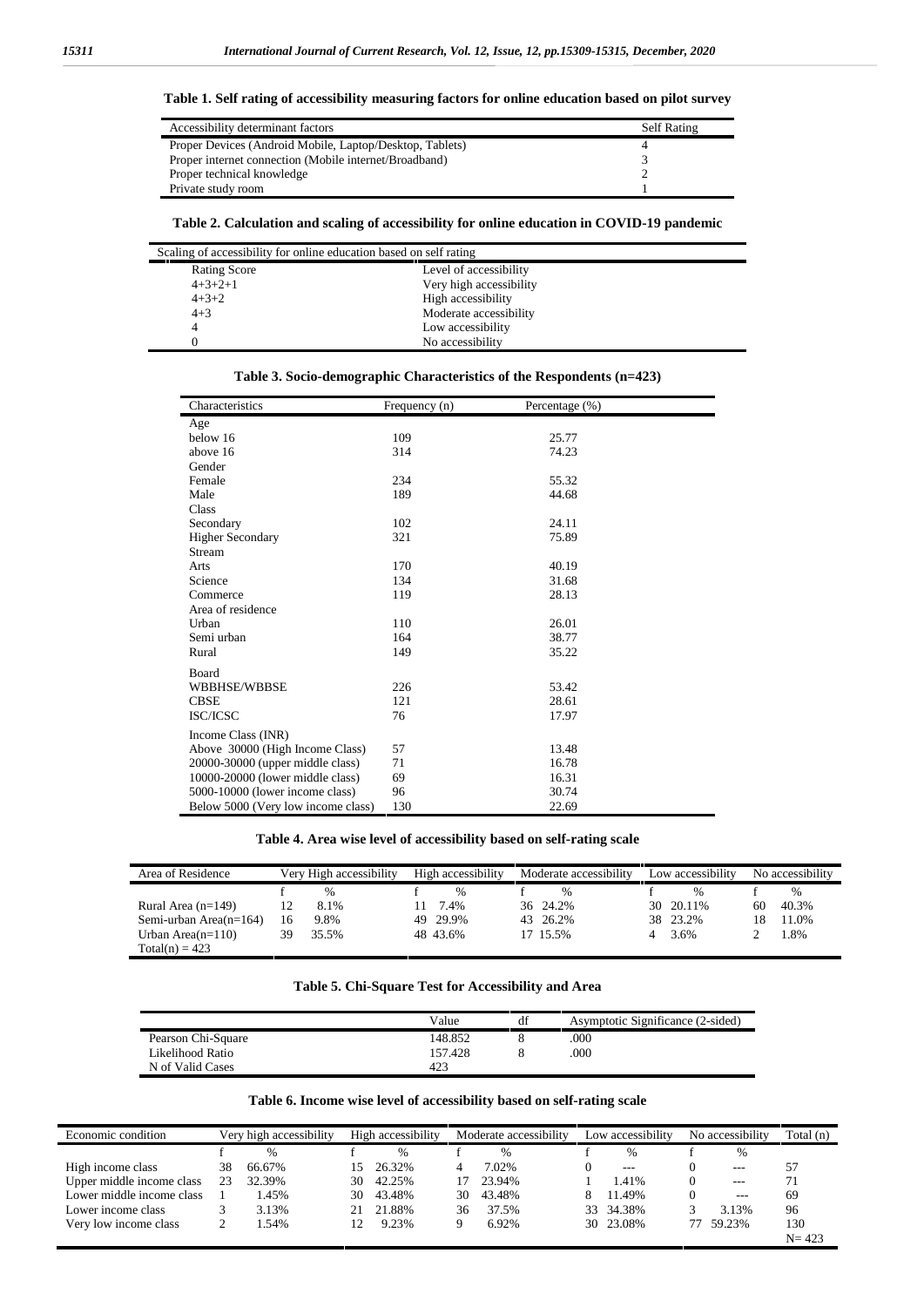| Accessibility determinant factors                        | <b>Self Rating</b> |
|----------------------------------------------------------|--------------------|
| Proper Devices (Android Mobile, Laptop/Desktop, Tablets) |                    |
| Proper internet connection (Mobile internet/Broadband)   |                    |
| Proper technical knowledge                               |                    |
| Private study room                                       |                    |

### **Table 1. Self rating of accessibility measuring factors for online education based on pilot survey**

## **Table 2. Calculation and scaling of accessibility for online education in COVID-19 pandemic**

| Scaling of accessibility for online education based on self rating |                         |  |  |  |  |
|--------------------------------------------------------------------|-------------------------|--|--|--|--|
| <b>Rating Score</b>                                                | Level of accessibility  |  |  |  |  |
| $4+3+2+1$                                                          | Very high accessibility |  |  |  |  |
| $4 + 3 + 2$                                                        | High accessibility      |  |  |  |  |
| $4 + 3$                                                            | Moderate accessibility  |  |  |  |  |
| 4                                                                  | Low accessibility       |  |  |  |  |
|                                                                    | No accessibility        |  |  |  |  |

## **Table 3. Socio-demographic Characteristics of the Respondents (n=423)**

| Characteristics                    | Frequency (n) | Percentage (%) |
|------------------------------------|---------------|----------------|
| Age                                |               |                |
| below 16                           | 109           | 25.77          |
| above 16                           | 314           | 74.23          |
| Gender                             |               |                |
| Female                             | 234           | 55.32          |
| Male                               | 189           | 44.68          |
| Class                              |               |                |
| Secondary                          | 102           | 24.11          |
| <b>Higher Secondary</b>            | 321           | 75.89          |
| Stream                             |               |                |
| Arts                               | 170           | 40.19          |
| Science                            | 134           | 31.68          |
| Commerce                           | 119           | 28.13          |
| Area of residence                  |               |                |
| Urban                              | 110           | 26.01          |
| Semi urban                         | 164           | 38.77          |
| Rural                              | 149           | 35.22          |
| Board                              |               |                |
| WBBHSE/WBBSE                       | 226           | 53.42          |
| <b>CBSE</b>                        | 121           | 28.61          |
| ISC/ICSC                           | 76            | 17.97          |
| Income Class (INR)                 |               |                |
| Above 30000 (High Income Class)    | 57            | 13.48          |
| 20000-30000 (upper middle class)   | 71            | 16.78          |
| 10000-20000 (lower middle class)   | 69            | 16.31          |
| 5000-10000 (lower income class)    | 96            | 30.74          |
| Below 5000 (Very low income class) | 130           | 22.69          |

## **Table 4. Area wise level of accessibility based on self-rating scale**

| Area of Residence         |    | Very High accessibility | High accessibility | Moderate accessibility | Low accessibility |    | No accessibility |
|---------------------------|----|-------------------------|--------------------|------------------------|-------------------|----|------------------|
|                           |    | $\%$                    | $\%$               |                        | $\%$              |    | %                |
| Rural Area $(n=149)$      |    | 8.1%                    | 7.4%               | 36 24.2%               | 30 20.11%         | 60 | 40.3%            |
| Semi-urban Area $(n=164)$ | 16 | 9.8%                    | 49 29.9%           | 43 26.2%               | 38 23.2%          | 18 | 1.0%             |
| Urban Area $(n=110)$      | 39 | 35.5%                   | 48 43.6%           | 17 15.5%               | 3.6%              |    | .8%              |
| $Total(n) = 423$          |    |                         |                    |                        |                   |    |                  |

#### **Table 5. Chi-Square Test for Accessibility and Area**

|                    | Value   | df | Asymptotic Significance (2-sided) |
|--------------------|---------|----|-----------------------------------|
| Pearson Chi-Square | 148.852 |    | .000                              |
| Likelihood Ratio   | 157.428 |    | 000                               |
| N of Valid Cases   | 423     |    |                                   |

#### **Table 6. Income wise level of accessibility based on self-rating scale**

| Economic condition        |    | Very high accessibility | High accessibility |               | Moderate accessibility |        | Low accessibility |           | No accessibility |         | Total (n) |
|---------------------------|----|-------------------------|--------------------|---------------|------------------------|--------|-------------------|-----------|------------------|---------|-----------|
|                           |    | $\%$                    |                    | $\frac{0}{0}$ |                        | $\%$   |                   | $\%$      |                  | $\%$    |           |
| High income class         | 38 | 66.67%                  | 15                 | 26.32%        |                        | 7.02%  |                   | $- - -$   |                  | $- - -$ | 57        |
| Upper middle income class | 23 | 32.39%                  | 30                 | 42.25%        |                        | 23.94% |                   | 1.41%     |                  | $---$   |           |
| Lower middle income class |    | .45%                    | 30                 | 43.48%        | 30                     | 43.48% |                   | 11.49%    |                  | $---$   | 69        |
| Lower income class        |    | 3.13%                   |                    | 21.88%        | 36                     | 37.5%  |                   | 33 34.38% |                  | 3.13%   | 96        |
| Very low income class     |    | .54%                    |                    | 9.23%         |                        | 6.92%  |                   | 30 23.08% |                  | 59.23%  | 130       |
|                           |    |                         |                    |               |                        |        |                   |           |                  |         | $N = 423$ |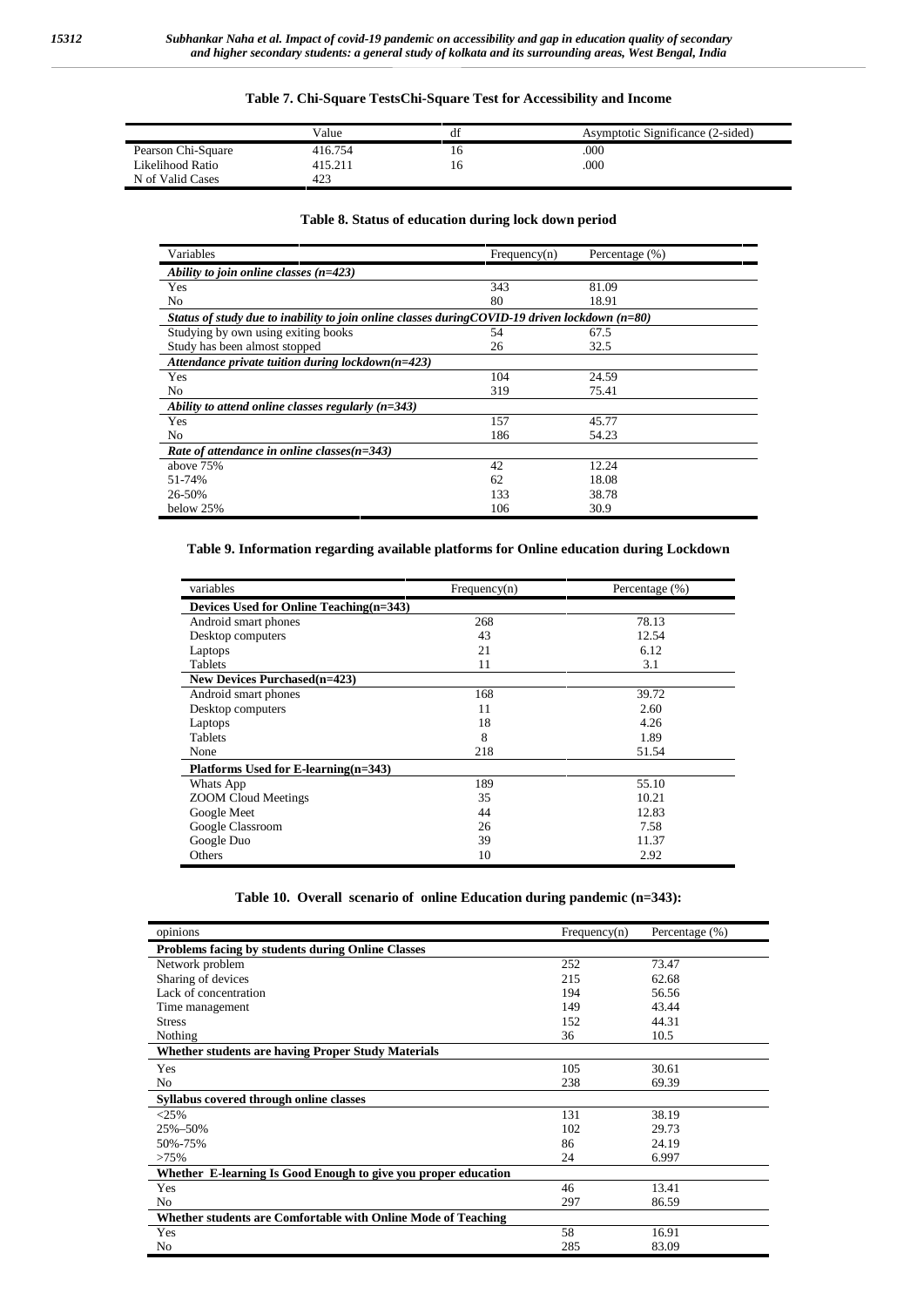#### **Table 7. Chi-Square TestsChi-Square Test for Accessibility and Income**

|                    | Value   |     | Asymptotic Significance (2-sided) |
|--------------------|---------|-----|-----------------------------------|
| Pearson Chi-Square | 416.754 | ı h | .000                              |
| Likelihood Ratio   | 415.211 | Iб  | 000                               |
| N of Valid Cases   | 423     |     |                                   |

## **Table 8. Status of education during lock down period**

| Variables                                                                                        | Frequency(n) | Percentage (%) |
|--------------------------------------------------------------------------------------------------|--------------|----------------|
| Ability to join online classes $(n=423)$                                                         |              |                |
| Yes                                                                                              | 343          | 81.09          |
| No                                                                                               | 80           | 18.91          |
| Status of study due to inability to join online classes during COVID-19 driven lockdown $(n=80)$ |              |                |
| Studying by own using exiting books                                                              | 54           | 67.5           |
| Study has been almost stopped                                                                    | 26           | 32.5           |
| Attendance private tuition during lockdown( $n=423$ )                                            |              |                |
| Yes                                                                                              | 104          | 24.59          |
| N <sub>0</sub>                                                                                   | 319          | 75.41          |
| Ability to attend online classes regularly $(n=343)$                                             |              |                |
| Yes                                                                                              | 157          | 45.77          |
| N <sub>o</sub>                                                                                   | 186          | 54.23          |
| Rate of attendance in online classes $(n=343)$                                                   |              |                |
| above 75%                                                                                        | 42           | 12.24          |
| 51-74%                                                                                           | 62           | 18.08          |
| 26-50%                                                                                           | 133          | 38.78          |
| below 25%                                                                                        | 106          | 30.9           |

## **Table 9. Information regarding available platforms for Online education during Lockdown**

| variables                               | Frequency(n) | Percentage (%) |
|-----------------------------------------|--------------|----------------|
| Devices Used for Online Teaching(n=343) |              |                |
| Android smart phones                    | 268          | 78.13          |
| Desktop computers                       | 43           | 12.54          |
| Laptops                                 | 21           | 6.12           |
| <b>Tablets</b>                          | 11           | 3.1            |
| <b>New Devices Purchased (n=423)</b>    |              |                |
| Android smart phones                    | 168          | 39.72          |
| Desktop computers                       | 11           | 2.60           |
| Laptops                                 | 18           | 4.26           |
| <b>Tablets</b>                          | 8            | 1.89           |
| None                                    | 218          | 51.54          |
| Platforms Used for E-learning(n=343)    |              |                |
| Whats App                               | 189          | 55.10          |
| <b>ZOOM Cloud Meetings</b>              | 35           | 10.21          |
| Google Meet                             | 44           | 12.83          |
| Google Classroom                        | 26           | 7.58           |
| Google Duo                              | 39           | 11.37          |
| Others                                  | 10           | 2.92           |

| Table 10. Overall scenario of online Education during pandemic $(n=343)$ : |  |
|----------------------------------------------------------------------------|--|
|----------------------------------------------------------------------------|--|

| opinions                                                       | Frequency(n) | Percentage (%) |
|----------------------------------------------------------------|--------------|----------------|
| <b>Problems facing by students during Online Classes</b>       |              |                |
| Network problem                                                | 252          | 73.47          |
| Sharing of devices                                             | 215          | 62.68          |
| Lack of concentration                                          | 194          | 56.56          |
| Time management                                                | 149          | 43.44          |
| <b>Stress</b>                                                  | 152          | 44.31          |
| Nothing                                                        | 36           | 10.5           |
| <b>Whether students are having Proper Study Materials</b>      |              |                |
| Yes                                                            | 105          | 30.61          |
| N <sub>0</sub>                                                 | 238          | 69.39          |
| Syllabus covered through online classes                        |              |                |
| <25%                                                           | 131          | 38.19          |
| 25%-50%                                                        | 102          | 29.73          |
| 50%-75%                                                        | 86           | 24.19          |
| >75%                                                           | 24           | 6.997          |
| Whether E-learning Is Good Enough to give you proper education |              |                |
| Yes                                                            | 46           | 13.41          |
| N <sub>0</sub>                                                 | 297          | 86.59          |
| Whether students are Comfortable with Online Mode of Teaching  |              |                |
| Yes                                                            | 58           | 16.91          |
| N <sub>0</sub>                                                 | 285          | 83.09          |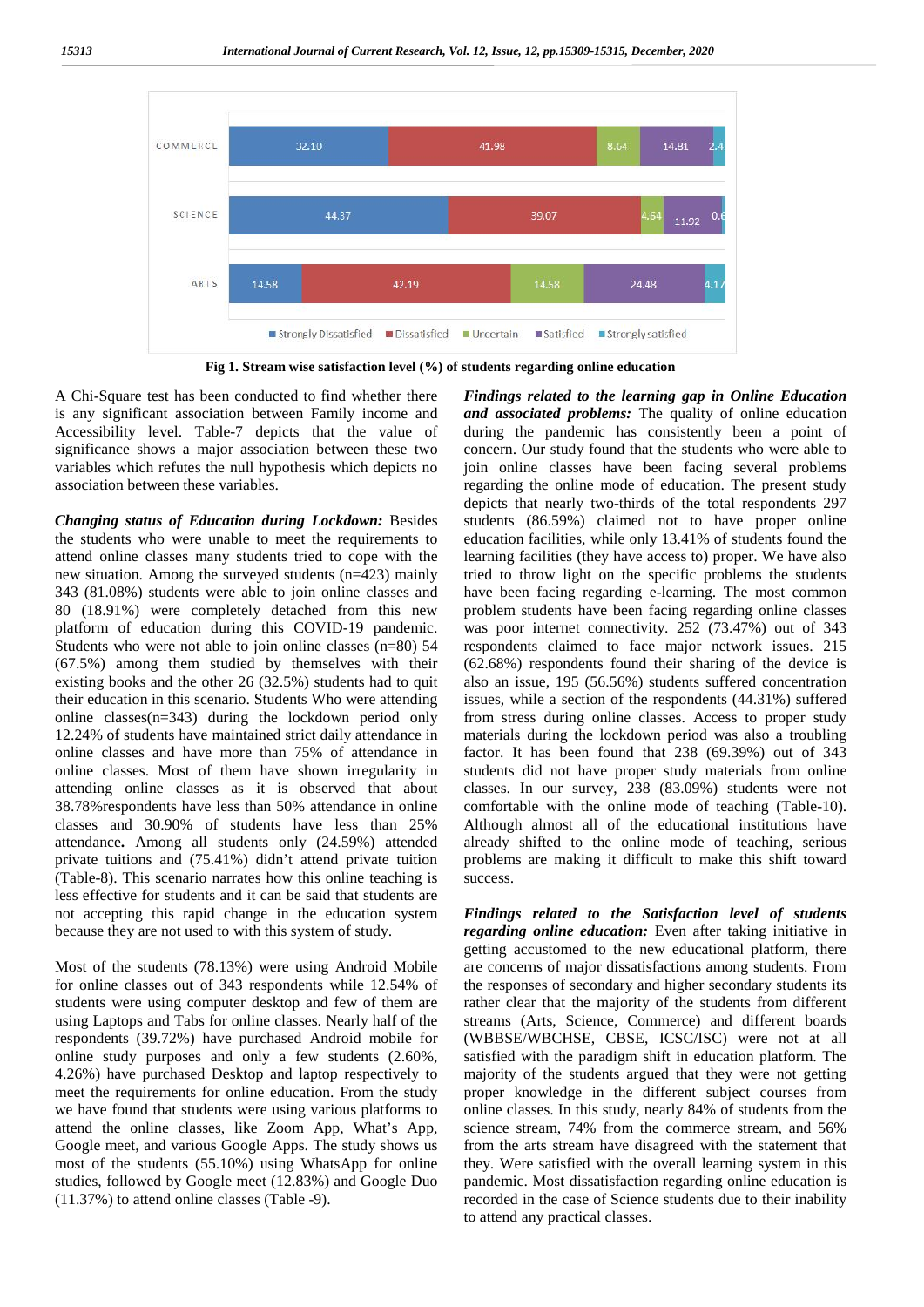

**Fig 1. Stream wise satisfaction level (%) of students regarding online education**

A Chi-Square test has been conducted to find whether there is any significant association between Family income and Accessibility level. Table-7 depicts that the value of significance shows a major association between these two variables which refutes the null hypothesis which depicts no association between these variables.

*Changing status of Education during Lockdown:* Besides the students who were unable to meet the requirements to attend online classes many students tried to cope with the new situation. Among the surveyed students (n=423) mainly 343 (81.08%) students were able to join online classes and 80 (18.91%) were completely detached from this new platform of education during this COVID-19 pandemic. Students who were not able to join online classes (n=80) 54 (67.5%) among them studied by themselves with their existing books and the other 26 (32.5%) students had to quit their education in this scenario. Students Who were attending online classes(n=343) during the lockdown period only 12.24% of students have maintained strict daily attendance in online classes and have more than 75% of attendance in online classes. Most of them have shown irregularity in attending online classes as it is observed that about 38.78%respondents have less than 50% attendance in online classes and 30.90% of students have less than 25% attendance**.** Among all students only (24.59%) attended private tuitions and (75.41%) didn't attend private tuition (Table-8). This scenario narrates how this online teaching is less effective for students and it can be said that students are not accepting this rapid change in the education system because they are not used to with this system of study.

Most of the students (78.13%) were using Android Mobile for online classes out of 343 respondents while 12.54% of students were using computer desktop and few of them are using Laptops and Tabs for online classes. Nearly half of the respondents (39.72%) have purchased Android mobile for online study purposes and only a few students (2.60%, 4.26%) have purchased Desktop and laptop respectively to meet the requirements for online education. From the study we have found that students were using various platforms to attend the online classes, like Zoom App, What's App, Google meet, and various Google Apps. The study shows us most of the students (55.10%) using WhatsApp for online studies, followed by Google meet (12.83%) and Google Duo (11.37%) to attend online classes (Table -9).

*Findings related to the learning gap in Online Education and associated problems:* The quality of online education during the pandemic has consistently been a point of concern. Our study found that the students who were able to join online classes have been facing several problems regarding the online mode of education. The present study depicts that nearly two-thirds of the total respondents 297 students (86.59%) claimed not to have proper online education facilities, while only 13.41% of students found the learning facilities (they have access to) proper. We have also tried to throw light on the specific problems the students have been facing regarding e-learning. The most common problem students have been facing regarding online classes was poor internet connectivity. 252 (73.47%) out of 343 respondents claimed to face major network issues. 215 (62.68%) respondents found their sharing of the device is also an issue, 195 (56.56%) students suffered concentration issues, while a section of the respondents (44.31%) suffered from stress during online classes. Access to proper study materials during the lockdown period was also a troubling factor. It has been found that 238 (69.39%) out of 343 students did not have proper study materials from online classes. In our survey, 238 (83.09%) students were not comfortable with the online mode of teaching (Table-10). Although almost all of the educational institutions have already shifted to the online mode of teaching, serious problems are making it difficult to make this shift toward success.

*Findings related to the Satisfaction level of students regarding online education:* Even after taking initiative in getting accustomed to the new educational platform, there are concerns of major dissatisfactions among students. From the responses of secondary and higher secondary students its rather clear that the majority of the students from different streams (Arts, Science, Commerce) and different boards (WBBSE/WBCHSE, CBSE, ICSC/ISC) were not at all satisfied with the paradigm shift in education platform. The majority of the students argued that they were not getting proper knowledge in the different subject courses from online classes. In this study, nearly 84% of students from the science stream, 74% from the commerce stream, and 56% from the arts stream have disagreed with the statement that they. Were satisfied with the overall learning system in this pandemic. Most dissatisfaction regarding online education is recorded in the case of Science students due to their inability to attend any practical classes.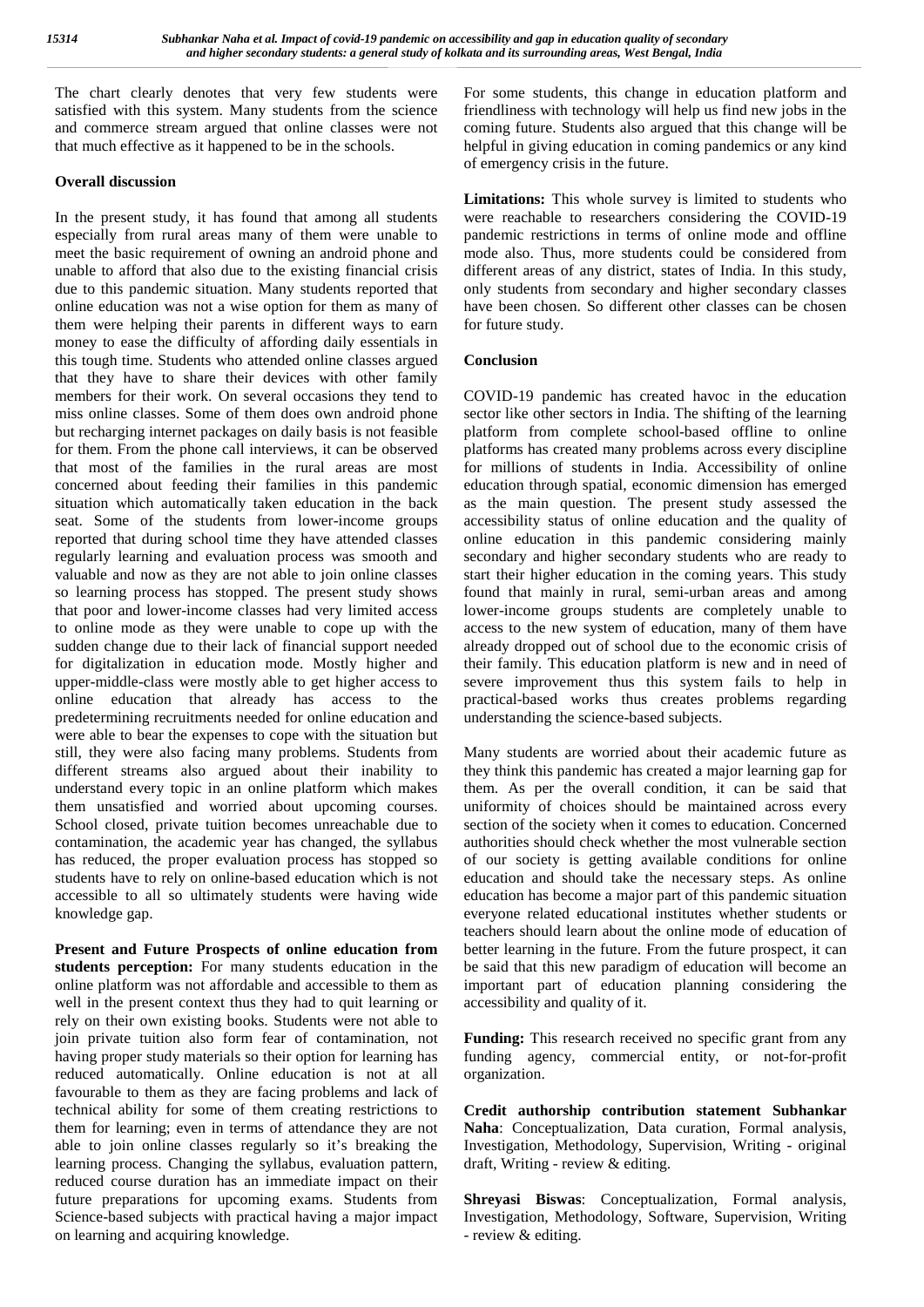The chart clearly denotes that very few students were satisfied with this system. Many students from the science and commerce stream argued that online classes were not that much effective as it happened to be in the schools.

#### **Overall discussion**

In the present study, it has found that among all students especially from rural areas many of them were unable to meet the basic requirement of owning an android phone and unable to afford that also due to the existing financial crisis due to this pandemic situation. Many students reported that online education was not a wise option for them as many of them were helping their parents in different ways to earn money to ease the difficulty of affording daily essentials in this tough time. Students who attended online classes argued that they have to share their devices with other family members for their work. On several occasions they tend to miss online classes. Some of them does own android phone but recharging internet packages on daily basis is not feasible for them. From the phone call interviews, it can be observed that most of the families in the rural areas are most concerned about feeding their families in this pandemic situation which automatically taken education in the back seat. Some of the students from lower-income groups reported that during school time they have attended classes regularly learning and evaluation process was smooth and valuable and now as they are not able to join online classes so learning process has stopped. The present study shows that poor and lower-income classes had very limited access to online mode as they were unable to cope up with the sudden change due to their lack of financial support needed for digitalization in education mode. Mostly higher and upper-middle-class were mostly able to get higher access to online education that already has access to the predetermining recruitments needed for online education and were able to bear the expenses to cope with the situation but still, they were also facing many problems. Students from different streams also argued about their inability to understand every topic in an online platform which makes them unsatisfied and worried about upcoming courses. School closed, private tuition becomes unreachable due to contamination, the academic year has changed, the syllabus has reduced, the proper evaluation process has stopped so students have to rely on online-based education which is not accessible to all so ultimately students were having wide knowledge gap.

**Present and Future Prospects of online education from students perception:** For many students education in the online platform was not affordable and accessible to them as well in the present context thus they had to quit learning or rely on their own existing books. Students were not able to join private tuition also form fear of contamination, not having proper study materials so their option for learning has reduced automatically. Online education is not at all favourable to them as they are facing problems and lack of technical ability for some of them creating restrictions to them for learning; even in terms of attendance they are not able to join online classes regularly so it's breaking the learning process. Changing the syllabus, evaluation pattern, reduced course duration has an immediate impact on their future preparations for upcoming exams. Students from Science-based subjects with practical having a major impact on learning and acquiring knowledge.

For some students, this change in education platform and friendliness with technology will help us find new jobs in the coming future. Students also argued that this change will be helpful in giving education in coming pandemics or any kind of emergency crisis in the future.

**Limitations:** This whole survey is limited to students who were reachable to researchers considering the COVID-19 pandemic restrictions in terms of online mode and offline mode also. Thus, more students could be considered from different areas of any district, states of India. In this study, only students from secondary and higher secondary classes have been chosen. So different other classes can be chosen for future study.

## **Conclusion**

COVID-19 pandemic has created havoc in the education sector like other sectors in India. The shifting of the learning platform from complete school-based offline to online platforms has created many problems across every discipline for millions of students in India. Accessibility of online education through spatial, economic dimension has emerged as the main question. The present study assessed the accessibility status of online education and the quality of online education in this pandemic considering mainly secondary and higher secondary students who are ready to start their higher education in the coming years. This study found that mainly in rural, semi-urban areas and among lower-income groups students are completely unable to access to the new system of education, many of them have already dropped out of school due to the economic crisis of their family. This education platform is new and in need of severe improvement thus this system fails to help in practical-based works thus creates problems regarding understanding the science-based subjects.

Many students are worried about their academic future as they think this pandemic has created a major learning gap for them. As per the overall condition, it can be said that uniformity of choices should be maintained across every section of the society when it comes to education. Concerned authorities should check whether the most vulnerable section of our society is getting available conditions for online education and should take the necessary steps. As online education has become a major part of this pandemic situation everyone related educational institutes whether students or teachers should learn about the online mode of education of better learning in the future. From the future prospect, it can be said that this new paradigm of education will become an important part of education planning considering the accessibility and quality of it.

**Funding:** This research received no specific grant from any funding agency, commercial entity, or not-for-profit organization.

**Credit authorship contribution statement Subhankar Naha**: Conceptualization, Data curation, Formal analysis, Investigation, Methodology, Supervision, Writing - original draft, Writing - review & editing.

**Shreyasi Biswas**: Conceptualization, Formal analysis, Investigation, Methodology, Software, Supervision, Writing - review & editing.